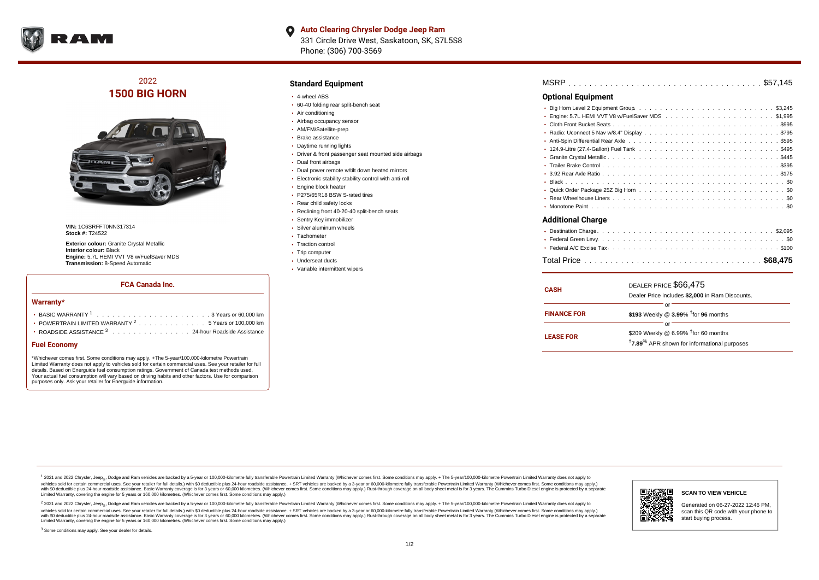

**Auto Clearing Chrysler Dodge Jeep Ram**  $\bullet$ 331 Circle Drive West, Saskatoon, SK, S7L5S8 Phone: (306) 700-3569

# 2022 **1500 BIG HORN**



**VIN:** 1C6SRFFT0NN317314 **Stock #:** T24522

**Exterior colour:** Granite Crystal Metallic **Interior colour:** Black **Engine:** 5.7L HEMI VVT V8 w/FuelSaver MDS **Transmission:** 8-Speed Automatic

#### **FCA Canada Inc.**

#### **Warranty\***

| <b>· BASIC WARRANTY</b> $1, \ldots, \ldots, \ldots, \ldots, \ldots, \ldots, \ldots, 3$ Years or 60,000 km |
|-----------------------------------------------------------------------------------------------------------|
| • POWERTRAIN LIMITED WARRANTY $2, \ldots, \ldots, \ldots, \ldots, 5$ Years or 100,000 km                  |
| • ROADSIDE ASSISTANCE $^3$ 24-hour Roadside Assistance                                                    |

## **Fuel Economy**

\*Whichever comes first. Some conditions may apply. +The 5-year/100,000-kilometre Powertrain Limited Warranty does not apply to vehicles sold for certain commercial uses. See your retailer for full details. Based on Energuide fuel consumption ratings. Government of Canada test methods used. Your actual fuel consumption will vary based on driving habits and other factors. Use for comparison purposes only. Ask your retailer for Energuide information.

### **Standard Equipment**

- 4-wheel ABS
- 60-40 folding rear split-bench seat
- Air conditioning
- Airbag occupancy sensor
- AM/FM/Satellite-prep
- Brake assistance
- Daytime running lights
- Driver & front passenger seat mounted side airbags
- Dual front airbags
- Dual power remote w/tilt down heated mirrors
- Electronic stability stability control with anti-roll
- Engine block heater
- P275/65R18 BSW S-rated tires
- Rear child safety locks
- Reclining front 40-20-40 split-bench seats
- Sentry Key immobilizer
- Silver aluminum wheels • Tachometer
- 
- Traction control • Trip computer
- Underseat ducts
- Variable intermittent wipers

| MSRP |  |  |  |  |  |  |  |  |  |  |  |  |  |  |  |  |  |  |  |  |  |  |  |  |  |  |  |  |  |  |  |  |  |  |  |  |  |
|------|--|--|--|--|--|--|--|--|--|--|--|--|--|--|--|--|--|--|--|--|--|--|--|--|--|--|--|--|--|--|--|--|--|--|--|--|--|
|------|--|--|--|--|--|--|--|--|--|--|--|--|--|--|--|--|--|--|--|--|--|--|--|--|--|--|--|--|--|--|--|--|--|--|--|--|--|

## **Optional Equipment**

| Additional Charge |
|-------------------|

#### **Additional Charge**

| <b>CASH</b>        | DEALER PRICE \$66,475<br>Dealer Price includes \$2,000 in Ram Discounts.                                                     |
|--------------------|------------------------------------------------------------------------------------------------------------------------------|
| <b>FINANCE FOR</b> | or<br>\$193 Weekly @ $3.99\%$ <sup>†</sup> for 96 months                                                                     |
| <b>LEASE FOR</b>   | or<br>\$209 Weekly @ 6.99% <sup>†</sup> for 60 months<br><sup>†</sup> 7.89 <sup>%</sup> APR shown for informational purposes |

<sup>1</sup> 2021 and 2022 Chrysler, Jeep<sub>®</sub>, Dodge and Ram vehicles are backed by a 5-year or 100,000-kilometre fully transferable Powertrain Limited Warranty (Whichever comes first. Some conditions may apply. + The 5-year/100,000 vehicles sold for certain commercial uses. See your retailer for full details.) with \$0 deductible plus 24 hour roadside assistance. + SRT vehicles are backed by a 3-year or 60,000-kilometre fully transferable Powertrain L versus and contract the mean of the contract of the contract with a contract with a contract the contract of the contract of the contract the contract of the contract of the contract of the contract of the contract of the Limited Warranty, covering the engine for 5 years or 160,000 kilometres. (Whichever comes first. Some conditions may apply.)

2 2021 and 2022 Chrysler, Jeep<sub>®</sub>, Dodge and Ram vehicles are backed by a 5-year or 100,000-kilometre fully transferable Powertrain Limited Warranty (Whichever comes first. Some conditions may apply. + The 5-year/100,000-k vehicles sold for certain commercial uses. See your retailer for full details.) with SO deductible plus 24-hour roadside assistance. + SRT vehicles are backed by a 3-year or 60.000-kilometre fully transferable Powertrain. with S0 deductible plus 24-hour roadside assistance. Basic Warranty coverage is for 3 years or 60,000 kilometres. (Whichever comes first. Some conditions may apply.) Rust-through coverage on all body sheet metal is for 3 y



### **SCAN TO VIEW VEHICLE**

Generated on 06-27-2022 12:46 PM, scan this QR code with your phone to start buying process.

<sup>3</sup> Some conditions may apply. See your dealer for details.